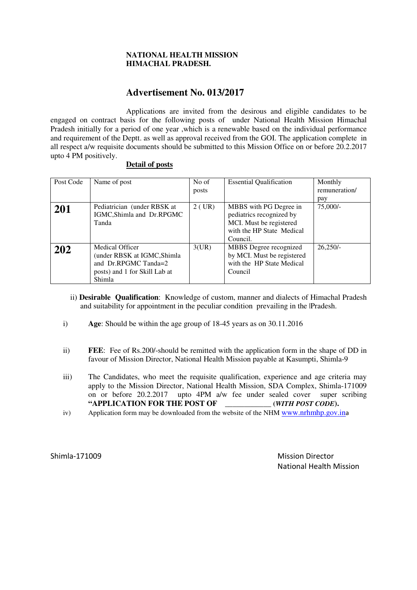### **NATIONAL HEALTH MISSION HIMACHAL PRADESH.**

## **Advertisement No. 013/2017**

 Applications are invited from the desirous and eligible candidates to be engaged on contract basis for the following posts of under National Health Mission Himachal Pradesh initially for a period of one year ,which is a renewable based on the individual performance and requirement of the Deptt. as well as approval received from the GOI. The application complete in all respect a/w requisite documents should be submitted to this Mission Office on or before 20.2.2017 upto 4 PM positively.

### **Detail of posts**

| Post Code | Name of post                  | No of    | <b>Essential Qualification</b> | Monthly       |
|-----------|-------------------------------|----------|--------------------------------|---------------|
|           |                               | posts    |                                | remuneration/ |
|           |                               |          |                                | pay           |
| 201       | Pediatrician (under RBSK at   | $2$ (UR) | MBBS with PG Degree in         | $75,000/-$    |
|           | IGMC, Shimla and Dr.RPGMC     |          | pediatrics recognized by       |               |
|           | Tanda                         |          | MCI. Must be registered        |               |
|           |                               |          | with the HP State Medical      |               |
|           |                               |          | Council.                       |               |
| 202       | Medical Officer               | 3(UR)    | MBBS Degree recognized         | $26.250/-$    |
|           | (under RBSK at IGMC, Shimla   |          | by MCI. Must be registered     |               |
|           | and Dr.RPGMC Tanda=2          |          | with the HP State Medical      |               |
|           | posts) and 1 for Skill Lab at |          | Council                        |               |
|           | Shimla                        |          |                                |               |

- ii) **Desirable Qualification**: Knowledge of custom, manner and dialects of Himachal Pradesh and suitability for appointment in the peculiar condition prevailing in the |Pradesh.
- i) **Age**: Should be within the age group of 18-45 years as on 30.11.2016
- ii) **FEE**: Fee of Rs.200/-should be remitted with the application form in the shape of DD in favour of Mission Director, National Health Mission payable at Kasumpti, Shimla-9
- iii) The Candidates, who meet the requisite qualification, experience and age criteria may apply to the Mission Director, National Health Mission, SDA Complex, Shimla-171009 on or before 20.2.2017 upto 4PM a/w fee under sealed cover super scribing **"APPLICATION FOR THE POST OF \_\_\_\_\_\_\_\_\_\_\_\_ (***WITH POST CODE***).**
- iv) Application form may be downloaded from the website of the NHM www.nrhmhp.gov.ina

Shimla-171009 Mission Director National Health Mission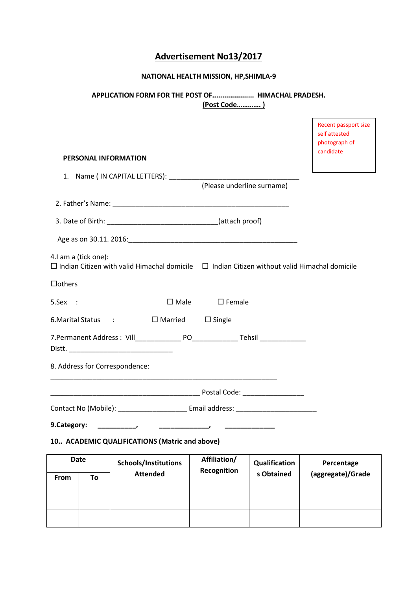# Advertisement No13/2017

# NATIONAL HEALTH MISSION, HP,SHIMLA-9

# APPLICATION FORM FOR THE POST OF..................... HIMACHAL PRADESH. (Post Code…………. )

 $\overline{\phantom{0}}$ 

 $\blacksquare$ 

|               |                      |                                                                                                          |                             |                             | Recent passport size<br>self attested<br>photograph of<br>candidate |
|---------------|----------------------|----------------------------------------------------------------------------------------------------------|-----------------------------|-----------------------------|---------------------------------------------------------------------|
|               |                      | <b>PERSONAL INFORMATION</b>                                                                              |                             |                             |                                                                     |
|               |                      |                                                                                                          | (Please underline surname)  |                             |                                                                     |
|               |                      |                                                                                                          |                             |                             |                                                                     |
|               |                      |                                                                                                          |                             |                             |                                                                     |
|               |                      |                                                                                                          |                             |                             |                                                                     |
|               | 4.I am a (tick one): | $\Box$ Indian Citizen with valid Himachal domicile $\Box$ Indian Citizen without valid Himachal domicile |                             |                             |                                                                     |
| $\Box$ others |                      |                                                                                                          |                             |                             |                                                                     |
| 5.Sex :       |                      |                                                                                                          | $\Box$ Male $\Box$ Female   |                             |                                                                     |
|               |                      | 6. Marital Status : □ Married □ Single                                                                   |                             |                             |                                                                     |
|               |                      |                                                                                                          |                             |                             |                                                                     |
|               |                      | 8. Address for Correspondence:                                                                           |                             |                             |                                                                     |
|               |                      |                                                                                                          |                             |                             |                                                                     |
|               |                      |                                                                                                          |                             |                             |                                                                     |
| 9.Category:   |                      | $\overline{\phantom{a}}$                                                                                 |                             |                             |                                                                     |
|               |                      | 10 ACADEMIC QUALIFICATIONS (Matric and above)                                                            |                             |                             |                                                                     |
| From          | <b>Date</b><br>To    | Schools/Institutions<br><b>Attended</b>                                                                  | Affiliation/<br>Recognition | Qualification<br>s Obtained | Percentage<br>(aggregate)/Grade                                     |
|               |                      |                                                                                                          |                             |                             |                                                                     |
|               |                      |                                                                                                          |                             |                             |                                                                     |